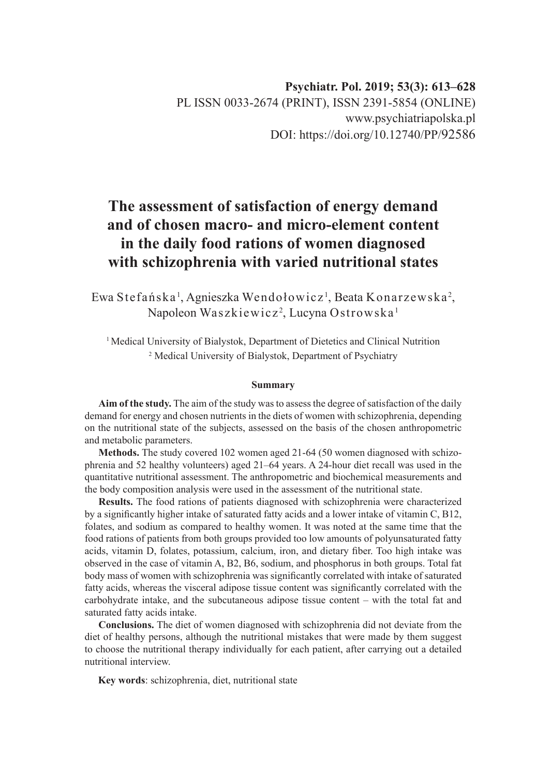# **The assessment of satisfaction of energy demand and of chosen macro- and micro-element content in the daily food rations of women diagnosed with schizophrenia with varied nutritional states**

Ewa Stefańska', Agnieszka Wendołowicz', Beata Konarzewska<sup>2</sup>, Napoleon Waszkiewicz<sup>2</sup>, Lucyna Ostrowska <sup>1</sup>

<sup>1</sup> Medical University of Bialystok, Department of Dietetics and Clinical Nutrition 2 Medical University of Bialystok, Department of Psychiatry

# **Summary**

**Aim of the study.** The aim of the study was to assess the degree of satisfaction of the daily demand for energy and chosen nutrients in the diets of women with schizophrenia, depending on the nutritional state of the subjects, assessed on the basis of the chosen anthropometric and metabolic parameters.

**Methods.** The study covered 102 women aged 21-64 (50 women diagnosed with schizophrenia and 52 healthy volunteers) aged 21–64 years. A 24-hour diet recall was used in the quantitative nutritional assessment. The anthropometric and biochemical measurements and the body composition analysis were used in the assessment of the nutritional state.

**Results.** The food rations of patients diagnosed with schizophrenia were characterized by a significantly higher intake of saturated fatty acids and a lower intake of vitamin C, B12, folates, and sodium as compared to healthy women. It was noted at the same time that the food rations of patients from both groups provided too low amounts of polyunsaturated fatty acids, vitamin D, folates, potassium, calcium, iron, and dietary fiber. Too high intake was observed in the case of vitamin A, B2, B6, sodium, and phosphorus in both groups. Total fat body mass of women with schizophrenia was significantly correlated with intake of saturated fatty acids, whereas the visceral adipose tissue content was significantly correlated with the carbohydrate intake, and the subcutaneous adipose tissue content – with the total fat and saturated fatty acids intake.

**Conclusions.** The diet of women diagnosed with schizophrenia did not deviate from the diet of healthy persons, although the nutritional mistakes that were made by them suggest to choose the nutritional therapy individually for each patient, after carrying out a detailed nutritional interview.

**Key words**: schizophrenia, diet, nutritional state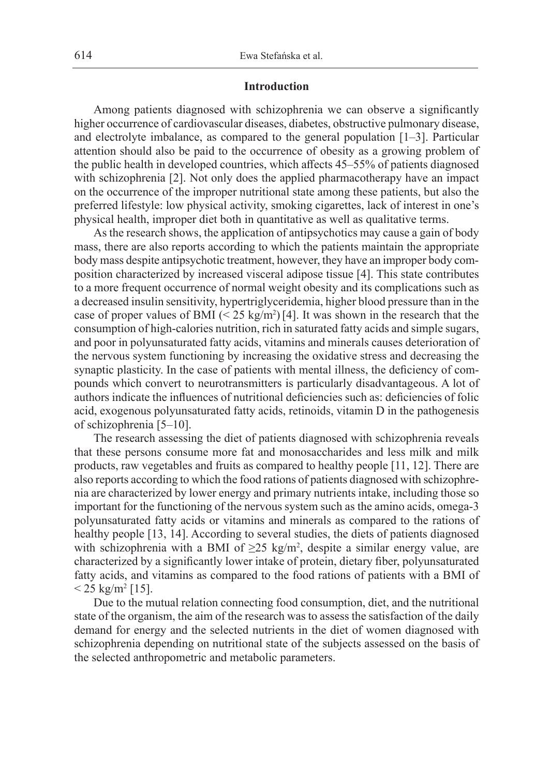### **Introduction**

Among patients diagnosed with schizophrenia we can observe a significantly higher occurrence of cardiovascular diseases, diabetes, obstructive pulmonary disease, and electrolyte imbalance, as compared to the general population [1–3]. Particular attention should also be paid to the occurrence of obesity as a growing problem of the public health in developed countries, which affects 45–55% of patients diagnosed with schizophrenia [2]. Not only does the applied pharmacotherapy have an impact on the occurrence of the improper nutritional state among these patients, but also the preferred lifestyle: low physical activity, smoking cigarettes, lack of interest in one's physical health, improper diet both in quantitative as well as qualitative terms.

As the research shows, the application of antipsychotics may cause a gain of body mass, there are also reports according to which the patients maintain the appropriate body mass despite antipsychotic treatment, however, they have an improper body composition characterized by increased visceral adipose tissue [4]. This state contributes to a more frequent occurrence of normal weight obesity and its complications such as a decreased insulin sensitivity, hypertriglyceridemia, higher blood pressure than in the case of proper values of BMI  $\left( \frac{25 \text{ kg/m}^2}{4} \right)$ . It was shown in the research that the consumption of high-calories nutrition, rich in saturated fatty acids and simple sugars, and poor in polyunsaturated fatty acids, vitamins and minerals causes deterioration of the nervous system functioning by increasing the oxidative stress and decreasing the synaptic plasticity. In the case of patients with mental illness, the deficiency of compounds which convert to neurotransmitters is particularly disadvantageous. A lot of authors indicate the influences of nutritional deficiencies such as: deficiencies of folic acid, exogenous polyunsaturated fatty acids, retinoids, vitamin D in the pathogenesis of schizophrenia [5–10].

The research assessing the diet of patients diagnosed with schizophrenia reveals that these persons consume more fat and monosaccharides and less milk and milk products, raw vegetables and fruits as compared to healthy people [11, 12]. There are also reports according to which the food rations of patients diagnosed with schizophrenia are characterized by lower energy and primary nutrients intake, including those so important for the functioning of the nervous system such as the amino acids, omega-3 polyunsaturated fatty acids or vitamins and minerals as compared to the rations of healthy people [13, 14]. According to several studies, the diets of patients diagnosed with schizophrenia with a BMI of  $\geq 25$  kg/m<sup>2</sup>, despite a similar energy value, are characterized by a significantly lower intake of protein, dietary fiber, polyunsaturated fatty acids, and vitamins as compared to the food rations of patients with a BMI of  $<$  25 kg/m<sup>2</sup> [15].

Due to the mutual relation connecting food consumption, diet, and the nutritional state of the organism, the aim of the research was to assess the satisfaction of the daily demand for energy and the selected nutrients in the diet of women diagnosed with schizophrenia depending on nutritional state of the subjects assessed on the basis of the selected anthropometric and metabolic parameters.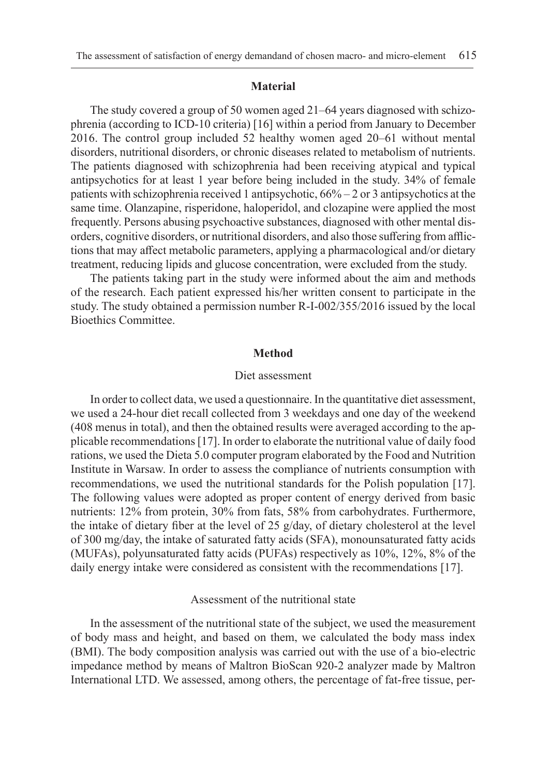#### **Material**

The study covered a group of 50 women aged 21–64 years diagnosed with schizophrenia (according to ICD-10 criteria) [16] within a period from January to December 2016. The control group included 52 healthy women aged 20–61 without mental disorders, nutritional disorders, or chronic diseases related to metabolism of nutrients. The patients diagnosed with schizophrenia had been receiving atypical and typical antipsychotics for at least 1 year before being included in the study. 34% of female patients with schizophrenia received 1 antipsychotic, 66% – 2 or 3 antipsychotics at the same time. Olanzapine, risperidone, haloperidol, and clozapine were applied the most frequently. Persons abusing psychoactive substances, diagnosed with other mental disorders, cognitive disorders, or nutritional disorders, and also those suffering from afflictions that may affect metabolic parameters, applying a pharmacological and/or dietary treatment, reducing lipids and glucose concentration, were excluded from the study.

The patients taking part in the study were informed about the aim and methods of the research. Each patient expressed his/her written consent to participate in the study. The study obtained a permission number R-I-002/355/2016 issued by the local Bioethics Committee.

#### **Method**

#### Diet assessment

In order to collect data, we used a questionnaire. In the quantitative diet assessment, we used a 24-hour diet recall collected from 3 weekdays and one day of the weekend (408 menus in total), and then the obtained results were averaged according to the applicable recommendations [17]. In order to elaborate the nutritional value of daily food rations, we used the Dieta 5.0 computer program elaborated by the Food and Nutrition Institute in Warsaw. In order to assess the compliance of nutrients consumption with recommendations, we used the nutritional standards for the Polish population [17]. The following values were adopted as proper content of energy derived from basic nutrients: 12% from protein, 30% from fats, 58% from carbohydrates. Furthermore, the intake of dietary fiber at the level of 25 g/day, of dietary cholesterol at the level of 300 mg/day, the intake of saturated fatty acids (SFA), monounsaturated fatty acids (MUFAs), polyunsaturated fatty acids (PUFAs) respectively as 10%, 12%, 8% of the daily energy intake were considered as consistent with the recommendations [17].

# Assessment of the nutritional state

In the assessment of the nutritional state of the subject, we used the measurement of body mass and height, and based on them, we calculated the body mass index (BMI). The body composition analysis was carried out with the use of a bio-electric impedance method by means of Maltron BioScan 920-2 analyzer made by Maltron International LTD. We assessed, among others, the percentage of fat-free tissue, per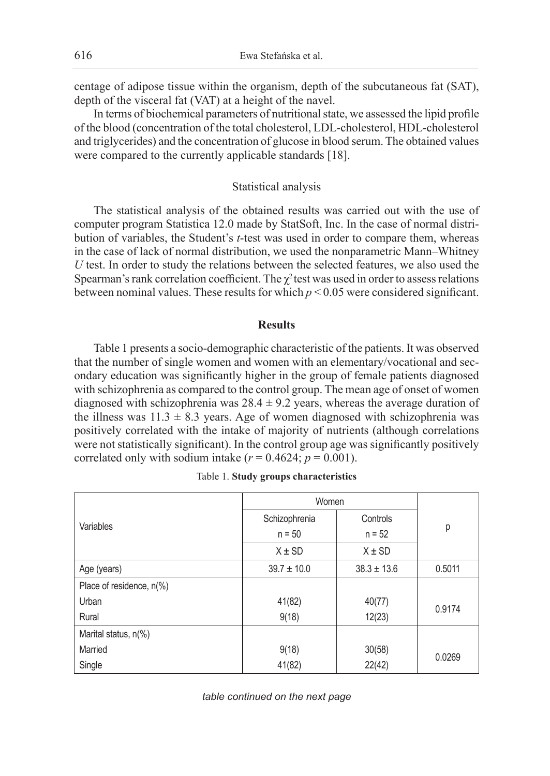centage of adipose tissue within the organism, depth of the subcutaneous fat (SAT), depth of the visceral fat (VAT) at a height of the navel.

In terms of biochemical parameters of nutritional state, we assessed the lipid profile of the blood (concentration of the total cholesterol, LDL-cholesterol, HDL-cholesterol and triglycerides) and the concentration of glucose in blood serum. The obtained values were compared to the currently applicable standards [18].

# Statistical analysis

The statistical analysis of the obtained results was carried out with the use of computer program Statistica 12.0 made by StatSoft, Inc. In the case of normal distribution of variables, the Student's *t*-test was used in order to compare them, whereas in the case of lack of normal distribution, we used the nonparametric Mann–Whitney *U* test. In order to study the relations between the selected features, we also used the Spearman's rank correlation coefficient. The  $\chi^2$  test was used in order to assess relations between nominal values. These results for which  $p < 0.05$  were considered significant.

# **Results**

Table 1 presents a socio-demographic characteristic of the patients. It was observed that the number of single women and women with an elementary/vocational and secondary education was significantly higher in the group of female patients diagnosed with schizophrenia as compared to the control group. The mean age of onset of women diagnosed with schizophrenia was  $28.4 \pm 9.2$  years, whereas the average duration of the illness was  $11.3 \pm 8.3$  years. Age of women diagnosed with schizophrenia was positively correlated with the intake of majority of nutrients (although correlations were not statistically significant). In the control group age was significantly positively correlated only with sodium intake  $(r = 0.4624; p = 0.001)$ .

|                          | Women           |                 |        |  |
|--------------------------|-----------------|-----------------|--------|--|
| Variables                | Schizophrenia   | Controls        |        |  |
|                          | $n = 50$        | $n = 52$        | p      |  |
|                          | $X \pm SD$      | $X \pm SD$      |        |  |
| Age (years)              | $39.7 \pm 10.0$ | $38.3 \pm 13.6$ | 0.5011 |  |
| Place of residence, n(%) |                 |                 |        |  |
| Urban                    | 41(82)          | 40(77)          | 0.9174 |  |
| Rural                    | 9(18)           | 12(23)          |        |  |
| Marital status, n(%)     |                 |                 |        |  |
| Married                  | 9(18)           | 30(58)          | 0.0269 |  |
| Single                   | 41(82)          | 22(42)          |        |  |

|  |  |  | Table 1. Study groups characteristics |
|--|--|--|---------------------------------------|
|--|--|--|---------------------------------------|

*table continued on the next page*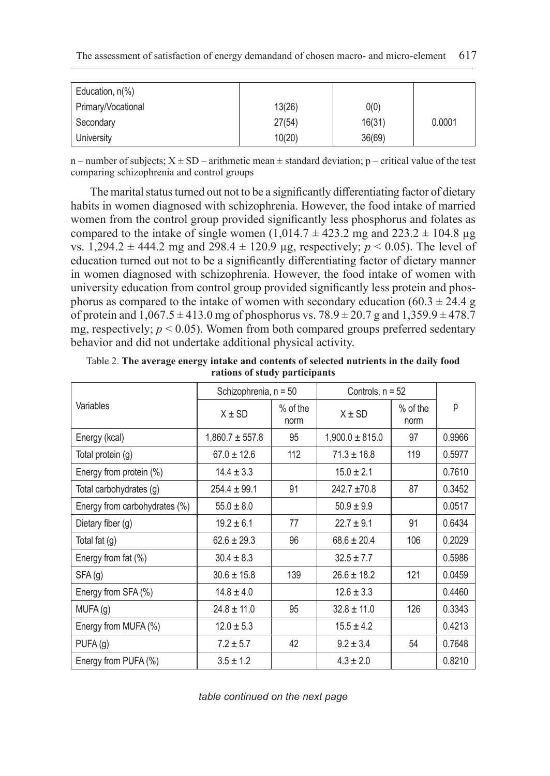| Education, n(%)    |        |        |        |
|--------------------|--------|--------|--------|
| Primary/Vocational | 13(26) | 0(0)   |        |
| Secondary          | 27(54) | 16(31) | 0.0001 |
| University         | 10(20) | 36(69) |        |

n – number of subjects;  $X \pm SD$  – arithmetic mean  $\pm$  standard deviation; p – critical value of the test comparing schizophrenia and control groups

The marital status turned out not to be a significantly differentiating factor of dietary habits in women diagnosed with schizophrenia. However, the food intake of married women from the control group provided significantly less phosphorus and folates as compared to the intake of single women  $(1,014.7 \pm 423.2 \text{ mg and } 223.2 \pm 104.8 \text{ µg})$ vs. 1,294.2  $\pm$  444.2 mg and 298.4  $\pm$  120.9 µg, respectively; *p* < 0.05). The level of education turned out not to be a significantly differentiating factor of dietary manner in women diagnosed with schizophrenia. However, the food intake of women with university education from control group provided significantly less protein and phosphorus as compared to the intake of women with secondary education (60.3  $\pm$  24.4 g of protein and  $1,067.5 \pm 413.0$  mg of phosphorus vs.  $78.9 \pm 20.7$  g and  $1,359.9 \pm 478.7$ mg, respectively;  $p < 0.05$ ). Women from both compared groups preferred sedentary behavior and did not undertake additional physical activity.

|                               | Schizophrenia, n = 50 |                    | Controls, $n = 52$  |                    |        |
|-------------------------------|-----------------------|--------------------|---------------------|--------------------|--------|
| Variables                     | $X \pm SD$            | $%$ of the<br>norm | $X \pm SD$          | $%$ of the<br>norm | р      |
| Energy (kcal)                 | $1,860.7 \pm 557.8$   | 95                 | $1,900.0 \pm 815.0$ | 97                 | 0.9966 |
| Total protein (g)             | $67.0 \pm 12.6$       | 112                | $71.3 \pm 16.8$     | 119                | 0.5977 |
| Energy from protein (%)       | $14.4 \pm 3.3$        |                    | $15.0 \pm 2.1$      |                    | 0.7610 |
| Total carbohydrates (g)       | $254.4 \pm 99.1$      | 91                 | $242.7 \pm 70.8$    | 87                 | 0.3452 |
| Energy from carbohydrates (%) | $55.0 \pm 8.0$        |                    | $50.9 \pm 9.9$      |                    | 0.0517 |
| Dietary fiber $(q)$           | $19.2 \pm 6.1$        | 77                 | $22.7 \pm 9.1$      | 91                 | 0.6434 |
| Total fat (g)                 | $62.6 \pm 29.3$       | 96                 | $68.6 \pm 20.4$     | 106                | 0.2029 |
| Energy from fat (%)           | $30.4 \pm 8.3$        |                    | $32.5 \pm 7.7$      |                    | 0.5986 |
| SFA(g)                        | $30.6 \pm 15.8$       | 139                | $26.6 \pm 18.2$     | 121                | 0.0459 |
| Energy from SFA (%)           | $14.8 \pm 4.0$        |                    | $12.6 \pm 3.3$      |                    | 0.4460 |
| MUFA (g)                      | $24.8 \pm 11.0$       | 95                 | $32.8 \pm 11.0$     | 126                | 0.3343 |
| Energy from MUFA (%)          | $12.0 \pm 5.3$        |                    | $15.5 \pm 4.2$      |                    | 0.4213 |
| PUFA(g)                       | $7.2 \pm 5.7$         | 42                 | $9.2 \pm 3.4$       | 54                 | 0.7648 |
| Energy from PUFA (%)          | $3.5 \pm 1.2$         |                    | $4.3 \pm 2.0$       |                    | 0.8210 |

Table 2. **The average energy intake and contents of selected nutrients in the daily food rations of study participants**

*table continued on the next page*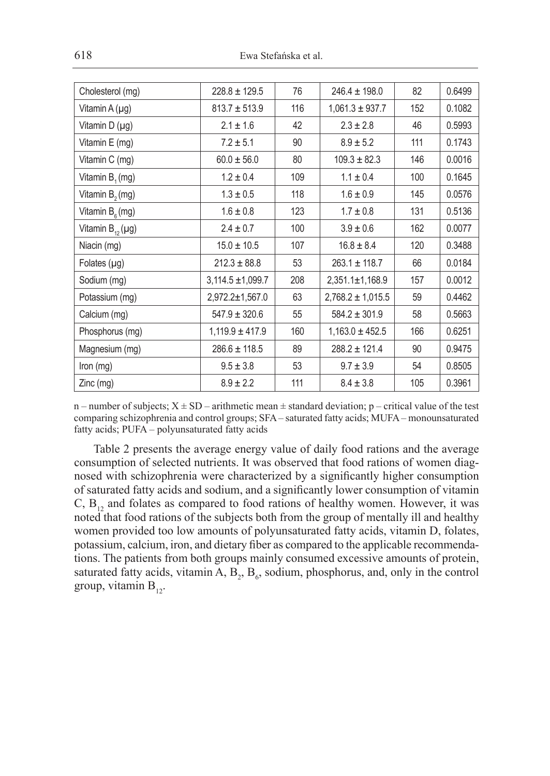| $228.8 \pm 129.5$     | 76  | $246.4 \pm 198.0$     | 82  | 0.6499 |
|-----------------------|-----|-----------------------|-----|--------|
| $813.7 \pm 513.9$     | 116 | $1,061.3 \pm 937.7$   | 152 | 0.1082 |
| $2.1 \pm 1.6$         | 42  | $2.3 \pm 2.8$         | 46  | 0.5993 |
| $7.2 \pm 5.1$         | 90  | $8.9 \pm 5.2$         | 111 | 0.1743 |
| $60.0 \pm 56.0$       | 80  | $109.3 \pm 82.3$      | 146 | 0.0016 |
| $1.2 \pm 0.4$         | 109 | $1.1 \pm 0.4$         | 100 | 0.1645 |
| $1.3 \pm 0.5$         | 118 | $1.6 \pm 0.9$         | 145 | 0.0576 |
| $1.6 \pm 0.8$         | 123 | $1.7 \pm 0.8$         | 131 | 0.5136 |
| $2.4 \pm 0.7$         | 100 | $3.9 \pm 0.6$         | 162 | 0.0077 |
| $15.0 \pm 10.5$       | 107 | $16.8 \pm 8.4$        | 120 | 0.3488 |
| $212.3 \pm 88.8$      | 53  | $263.1 \pm 118.7$     | 66  | 0.0184 |
| $3,114.5 \pm 1,099.7$ | 208 | 2,351.1±1,168.9       | 157 | 0.0012 |
| $2,972.2 \pm 1,567.0$ | 63  | $2,768.2 \pm 1,015.5$ | 59  | 0.4462 |
| $547.9 \pm 320.6$     | 55  | $584.2 \pm 301.9$     | 58  | 0.5663 |
| $1,119.9 \pm 417.9$   | 160 | $1,163.0 \pm 452.5$   | 166 | 0.6251 |
| $286.6 \pm 118.5$     | 89  | $288.2 \pm 121.4$     | 90  | 0.9475 |
| $9.5 \pm 3.8$         | 53  | $9.7 \pm 3.9$         | 54  | 0.8505 |
| $8.9 \pm 2.2$         | 111 | $8.4 \pm 3.8$         | 105 | 0.3961 |
|                       |     |                       |     |        |

n – number of subjects;  $X \pm SD$  – arithmetic mean  $\pm$  standard deviation; p – critical value of the test comparing schizophrenia and control groups; SFA – saturated fatty acids; MUFA – monounsaturated fatty acids; PUFA – polyunsaturated fatty acids

Table 2 presents the average energy value of daily food rations and the average consumption of selected nutrients. It was observed that food rations of women diagnosed with schizophrenia were characterized by a significantly higher consumption of saturated fatty acids and sodium, and a significantly lower consumption of vitamin C,  $B_{12}$  and folates as compared to food rations of healthy women. However, it was noted that food rations of the subjects both from the group of mentally ill and healthy women provided too low amounts of polyunsaturated fatty acids, vitamin D, folates, potassium, calcium, iron, and dietary fiber as compared to the applicable recommendations. The patients from both groups mainly consumed excessive amounts of protein, saturated fatty acids, vitamin A,  $B_2$ ,  $B_6$ , sodium, phosphorus, and, only in the control group, vitamin  $B_{12}$ .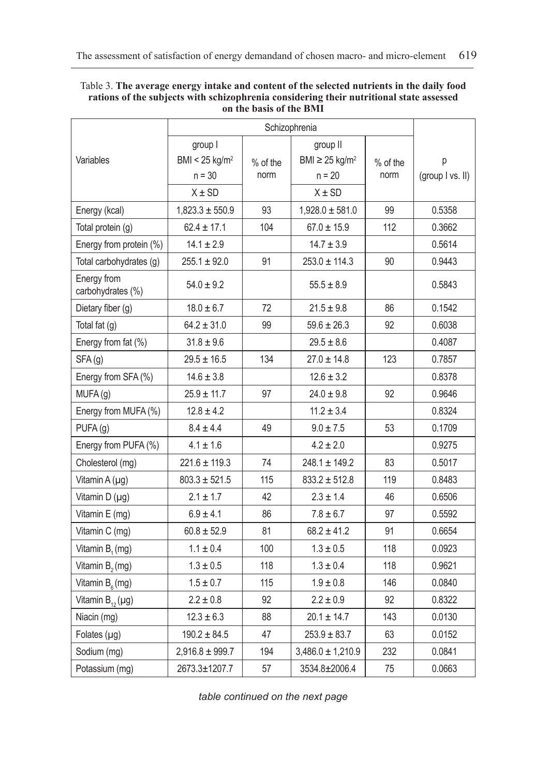| Table 3. The average energy intake and content of the selected nutrients in the daily food |
|--------------------------------------------------------------------------------------------|
| rations of the subjects with schizophrenia considering their nutritional state assessed    |
| on the basis of the BMI                                                                    |

|                                  | group I                    |            | group II                        |            |                  |
|----------------------------------|----------------------------|------------|---------------------------------|------------|------------------|
| Variables                        | BMI < 25 kg/m <sup>2</sup> | $%$ of the | BMI $\geq$ 25 kg/m <sup>2</sup> | $%$ of the | р                |
|                                  | $n = 30$                   | norm       | $n = 20$                        | norm       | (group I vs. II) |
|                                  | $X \pm SD$                 |            | $X \pm SD$                      |            |                  |
| Energy (kcal)                    | $1,823.3 \pm 550.9$        | 93         | $1,928.0 \pm 581.0$             | 99         | 0.5358           |
| Total protein (g)                | $62.4 \pm 17.1$            | 104        | $67.0 \pm 15.9$                 | 112        | 0.3662           |
| Energy from protein (%)          | $14.1 \pm 2.9$             |            | $14.7 \pm 3.9$                  |            | 0.5614           |
| Total carbohydrates (g)          | $255.1 \pm 92.0$           | 91         | $253.0 \pm 114.3$               | 90         | 0.9443           |
| Energy from<br>carbohydrates (%) | $54.0 \pm 9.2$             |            | $55.5 \pm 8.9$                  |            | 0.5843           |
| Dietary fiber (g)                | $18.0 \pm 6.7$             | 72         | $21.5 \pm 9.8$                  | 86         | 0.1542           |
| Total fat $(g)$                  | $64.2 \pm 31.0$            | 99         | $59.6 \pm 26.3$                 | 92         | 0.6038           |
| Energy from fat (%)              | $31.8 \pm 9.6$             |            | $29.5 \pm 8.6$                  |            | 0.4087           |
| SFA(g)                           | $29.5 \pm 16.5$            | 134        | $27.0 \pm 14.8$                 | 123        | 0.7857           |
| Energy from SFA (%)              | $14.6 \pm 3.8$             |            | $12.6 \pm 3.2$                  |            | 0.8378           |
| MUFA (g)                         | $25.9 \pm 11.7$            | 97         | $24.0 \pm 9.8$                  | 92         | 0.9646           |
| Energy from MUFA (%)             | $12.8 \pm 4.2$             |            | $11.2 \pm 3.4$                  |            | 0.8324           |
| PUFA(g)                          | $8.4 \pm 4.4$              | 49         | $9.0 \pm 7.5$                   | 53         | 0.1709           |
| Energy from PUFA (%)             | $4.1 \pm 1.6$              |            | $4.2 \pm 2.0$                   |            | 0.9275           |
| Cholesterol (mg)                 | $221.6 \pm 119.3$          | 74         | $248.1 \pm 149.2$               | 83         | 0.5017           |
| Vitamin A (µg)                   | $803.3 \pm 521.5$          | 115        | $833.2 \pm 512.8$               | 119        | 0.8483           |
| Vitamin D (µg)                   | $2.1 \pm 1.7$              | 42         | $2.3 \pm 1.4$                   | 46         | 0.6506           |
| Vitamin E (mg)                   | $6.9 \pm 4.1$              | 86         | $7.8 \pm 6.7$                   | 97         | 0.5592           |
| Vitamin C (mg)                   | $60.8 \pm 52.9$            | 81         | $68.2 \pm 41.2$                 | 91         | 0.6654           |
| Vitamin B <sub>1</sub> (mg)      | $1.1 \pm 0.4$              | 100        | $1.3 \pm 0.5$                   | 118        | 0.0923           |
| Vitamin B <sub>2</sub> (mg)      | $1.3 \pm 0.5$              | 118        | $1.3 \pm 0.4$                   | 118        | 0.9621           |
| Vitamin $B_{\epsilon}$ (mg)      | $1.5 \pm 0.7$              | 115        | $1.9 \pm 0.8$                   | 146        | 0.0840           |
| Vitamin $B_{12}(\mu g)$          | $2.2 \pm 0.8$              | 92         | $2.2 \pm 0.9$                   | 92         | 0.8322           |
| Niacin (mg)                      | $12.3 \pm 6.3$             | 88         | $20.1 \pm 14.7$                 | 143        | 0.0130           |
| Folates $(\mu g)$                | $190.2 \pm 84.5$           | 47         | $253.9 \pm 83.7$                | 63         | 0.0152           |
| Sodium (mg)                      | $2,916.8 \pm 999.7$        | 194        | $3,486.0 \pm 1,210.9$           | 232        | 0.0841           |
| Potassium (mg)                   | 2673.3±1207.7              | 57         | 3534.8±2006.4                   | 75         | 0.0663           |

*table continued on the next page*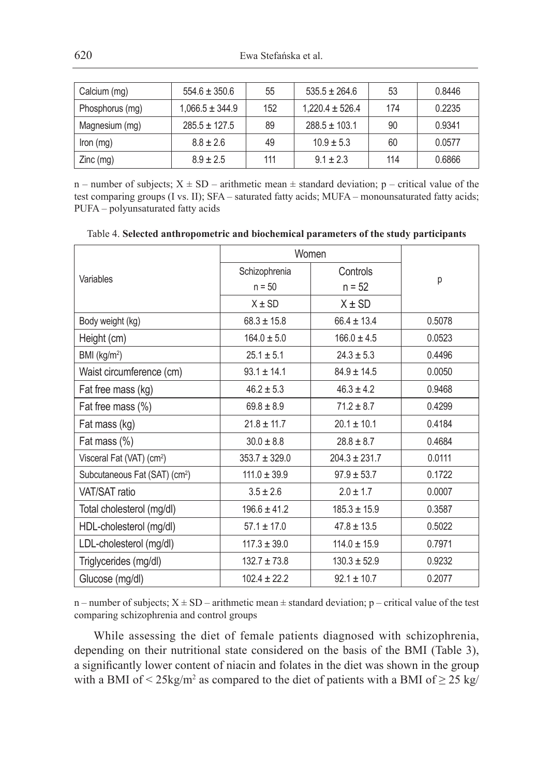| Calcium (mg)    | $554.6 \pm 350.6$   | 55  | $535.5 \pm 264.6$   | 53  | 0.8446 |
|-----------------|---------------------|-----|---------------------|-----|--------|
| Phosphorus (mg) | $1.066.5 \pm 344.9$ | 152 | $1.220.4 \pm 526.4$ | 174 | 0.2235 |
| Magnesium (mg)  | $285.5 \pm 127.5$   | 89  | $288.5 \pm 103.1$   | 90  | 0.9341 |
| $lron$ (mg)     | $8.8 \pm 2.6$       | 49  | $10.9 \pm 5.3$      | 60  | 0.0577 |
| $Zinc$ (mg)     | $8.9 \pm 2.5$       | 111 | $9.1 \pm 2.3$       | 114 | 0.6866 |

n – number of subjects;  $X \pm SD$  – arithmetic mean  $\pm$  standard deviation; p – critical value of the test comparing groups (I vs. II); SFA – saturated fatty acids; MUFA – monounsaturated fatty acids; PUFA – polyunsaturated fatty acids

|  |  |  | Table 4. Selected anthropometric and biochemical parameters of the study participants |
|--|--|--|---------------------------------------------------------------------------------------|
|--|--|--|---------------------------------------------------------------------------------------|

|                                           | Women             |                   |        |
|-------------------------------------------|-------------------|-------------------|--------|
| Variables                                 | Schizophrenia     | Controls          |        |
|                                           | $n = 50$          | $n = 52$          | p      |
|                                           | $X \pm SD$        | $X \pm SD$        |        |
| Body weight (kg)                          | $68.3 \pm 15.8$   | $66.4 \pm 13.4$   | 0.5078 |
| Height (cm)                               | $164.0 \pm 5.0$   | $166.0 \pm 4.5$   | 0.0523 |
| BMI (kg/m <sup>2</sup> )                  | $25.1 \pm 5.1$    | $24.3 \pm 5.3$    | 0.4496 |
| Waist circumference (cm)                  | $93.1 \pm 14.1$   | $84.9 \pm 14.5$   | 0.0050 |
| Fat free mass (kg)                        | $46.2 \pm 5.3$    | $46.3 \pm 4.2$    | 0.9468 |
| Fat free mass (%)                         | $69.8 \pm 8.9$    | $71.2 \pm 8.7$    | 0.4299 |
| Fat mass (kg)                             | $21.8 \pm 11.7$   | $20.1 \pm 10.1$   | 0.4184 |
| Fat mass (%)                              | $30.0 \pm 8.8$    | $28.8 \pm 8.7$    | 0.4684 |
| Visceral Fat (VAT) (cm <sup>2</sup> )     | $353.7 \pm 329.0$ | $204.3 \pm 231.7$ | 0.0111 |
| Subcutaneous Fat (SAT) (cm <sup>2</sup> ) | $111.0 \pm 39.9$  | $97.9 \pm 53.7$   | 0.1722 |
| VAT/SAT ratio                             | $3.5 \pm 2.6$     | $2.0 \pm 1.7$     | 0.0007 |
| Total cholesterol (mg/dl)                 | $196.6 \pm 41.2$  | $185.3 \pm 15.9$  | 0.3587 |
| HDL-cholesterol (mg/dl)                   | $57.1 \pm 17.0$   | $47.8 \pm 13.5$   | 0.5022 |
| LDL-cholesterol (mg/dl)                   | $117.3 \pm 39.0$  | $114.0 \pm 15.9$  | 0.7971 |
| Triglycerides (mg/dl)                     | $132.7 \pm 73.8$  | $130.3 \pm 52.9$  | 0.9232 |
| Glucose (mg/dl)                           | $102.4 \pm 22.2$  | $92.1 \pm 10.7$   | 0.2077 |

n – number of subjects;  $X \pm SD$  – arithmetic mean  $\pm$  standard deviation; p – critical value of the test comparing schizophrenia and control groups

While assessing the diet of female patients diagnosed with schizophrenia, depending on their nutritional state considered on the basis of the BMI (Table 3), a significantly lower content of niacin and folates in the diet was shown in the group with a BMI of  $\leq$  25kg/m<sup>2</sup> as compared to the diet of patients with a BMI of  $\geq$  25 kg/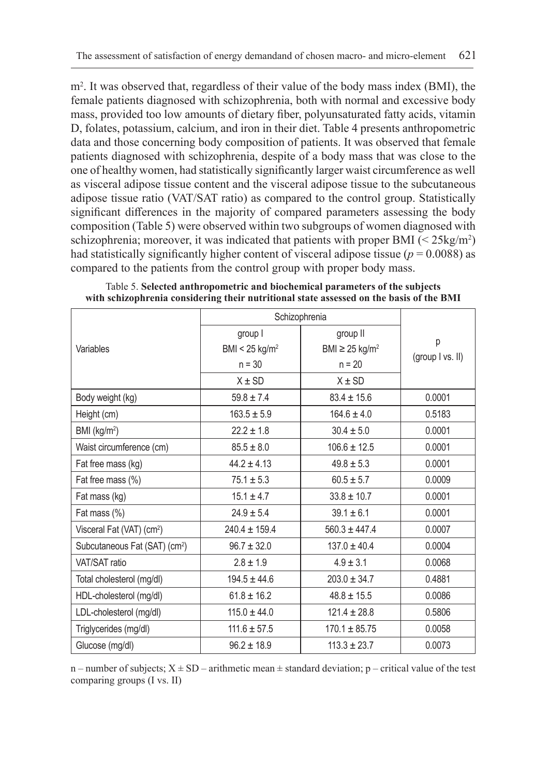m2 . It was observed that, regardless of their value of the body mass index (BMI), the female patients diagnosed with schizophrenia, both with normal and excessive body mass, provided too low amounts of dietary fiber, polyunsaturated fatty acids, vitamin D, folates, potassium, calcium, and iron in their diet. Table 4 presents anthropometric data and those concerning body composition of patients. It was observed that female patients diagnosed with schizophrenia, despite of a body mass that was close to the one of healthy women, had statistically significantly larger waist circumference as well as visceral adipose tissue content and the visceral adipose tissue to the subcutaneous adipose tissue ratio (VAT/SAT ratio) as compared to the control group. Statistically significant differences in the majority of compared parameters assessing the body composition (Table 5) were observed within two subgroups of women diagnosed with schizophrenia; moreover, it was indicated that patients with proper BMI  $\left($  < 25kg/m<sup>2</sup> $\right)$ had statistically significantly higher content of visceral adipose tissue ( $p = 0.0088$ ) as compared to the patients from the control group with proper body mass.

|                                           | Schizophrenia                           |                                             |                  |
|-------------------------------------------|-----------------------------------------|---------------------------------------------|------------------|
| Variables                                 | group I<br>BMI < $25$ kg/m <sup>2</sup> | group II<br>BMI $\geq$ 25 kg/m <sup>2</sup> | р                |
|                                           | $n = 30$                                | $n = 20$                                    | (group I vs. II) |
|                                           | $X \pm SD$                              | $X \pm SD$                                  |                  |
| Body weight (kg)                          | $59.8 \pm 7.4$                          | $83.4 \pm 15.6$                             | 0.0001           |
| Height (cm)                               | $163.5 \pm 5.9$                         | $164.6 \pm 4.0$                             | 0.5183           |
| BMI (kg/m <sup>2</sup> )                  | $22.2 \pm 1.8$                          | $30.4 \pm 5.0$                              | 0.0001           |
| Waist circumference (cm)                  | $85.5 \pm 8.0$                          | $106.6 \pm 12.5$                            | 0.0001           |
| Fat free mass (kg)                        | $44.2 \pm 4.13$                         | $49.8 \pm 5.3$                              | 0.0001           |
| Fat free mass (%)                         | $75.1 \pm 5.3$                          | $60.5 \pm 5.7$                              | 0.0009           |
| Fat mass (kg)                             | $15.1 \pm 4.7$                          | $33.8 \pm 10.7$                             | 0.0001           |
| Fat mass (%)                              | $24.9 \pm 5.4$                          | $39.1 \pm 6.1$                              | 0.0001           |
| Visceral Fat (VAT) (cm <sup>2</sup> )     | $240.4 \pm 159.4$                       | $560.3 \pm 447.4$                           | 0.0007           |
| Subcutaneous Fat (SAT) (cm <sup>2</sup> ) | $96.7 \pm 32.0$                         | $137.0 \pm 40.4$                            | 0.0004           |
| VAT/SAT ratio                             | $2.8 \pm 1.9$                           | $4.9 \pm 3.1$                               | 0.0068           |
| Total cholesterol (mg/dl)                 | $194.5 \pm 44.6$                        | $203.0 \pm 34.7$                            | 0.4881           |
| HDL-cholesterol (mg/dl)                   | $61.8 \pm 16.2$                         | $48.8 \pm 15.5$                             | 0.0086           |
| LDL-cholesterol (mg/dl)                   | $115.0 \pm 44.0$                        | $121.4 \pm 28.8$                            | 0.5806           |
| Triglycerides (mg/dl)                     | $111.6 \pm 57.5$                        | $170.1 \pm 85.75$                           | 0.0058           |
| Glucose (mg/dl)                           | $96.2 \pm 18.9$                         | $113.3 \pm 23.7$                            | 0.0073           |

Table 5. **Selected anthropometric and biochemical parameters of the subjects with schizophrenia considering their nutritional state assessed on the basis of the BMI**

n – number of subjects;  $X \pm SD$  – arithmetic mean  $\pm$  standard deviation; p – critical value of the test comparing groups (I vs. II)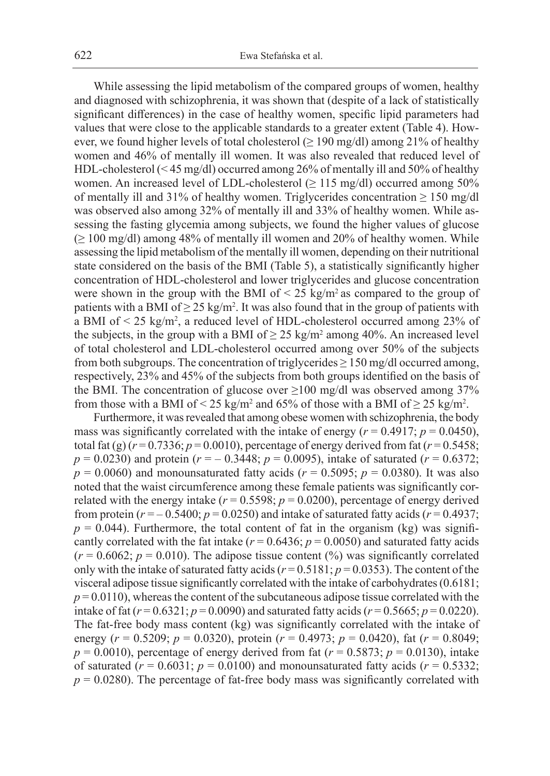While assessing the lipid metabolism of the compared groups of women, healthy and diagnosed with schizophrenia, it was shown that (despite of a lack of statistically significant differences) in the case of healthy women, specific lipid parameters had values that were close to the applicable standards to a greater extent (Table 4). However, we found higher levels of total cholesterol ( $\geq$  190 mg/dl) among 21% of healthy women and 46% of mentally ill women. It was also revealed that reduced level of HDL-cholesterol (< 45 mg/dl) occurred among 26% of mentally ill and 50% of healthy women. An increased level of LDL-cholesterol (≥ 115 mg/dl) occurred among 50% of mentally ill and 31% of healthy women. Triglycerides concentration  $\geq 150$  mg/dl was observed also among 32% of mentally ill and 33% of healthy women. While assessing the fasting glycemia among subjects, we found the higher values of glucose  $( \geq 100 \text{ mg/dl})$  among 48% of mentally ill women and 20% of healthy women. While assessing the lipid metabolism of the mentally ill women, depending on their nutritional state considered on the basis of the BMI (Table 5), a statistically significantly higher concentration of HDL-cholesterol and lower triglycerides and glucose concentration were shown in the group with the BMI of  $\leq$  25 kg/m<sup>2</sup> as compared to the group of patients with a BMI of  $\geq 25 \text{ kg/m}^2$ . It was also found that in the group of patients with a BMI of < 25 kg/m2 , a reduced level of HDL-cholesterol occurred among 23% of the subjects, in the group with a BMI of  $\geq 25 \text{ kg/m}^2$  among 40%. An increased level of total cholesterol and LDL-cholesterol occurred among over 50% of the subjects from both subgroups. The concentration of triglycerides  $\geq 150$  mg/dl occurred among, respectively, 23% and 45% of the subjects from both groups identified on the basis of the BMI. The concentration of glucose over  $\geq$ 100 mg/dl was observed among 37% from those with a BMI of < 25 kg/m<sup>2</sup> and 65% of those with a BMI of  $\geq$  25 kg/m<sup>2</sup>.

Furthermore, it was revealed that among obese women with schizophrenia, the body mass was significantly correlated with the intake of energy ( $r = 0.4917$ ;  $p = 0.0450$ ), total fat (g)  $(r = 0.7336; p = 0.0010)$ , percentage of energy derived from fat  $(r = 0.5458;$ *p* = 0.0230) and protein (*r* = – 0.3448; *p* = 0.0095), intake of saturated (*r* = 0.6372;  $p = 0.0060$ ) and monounsaturated fatty acids ( $r = 0.5095$ ;  $p = 0.0380$ ). It was also noted that the waist circumference among these female patients was significantly correlated with the energy intake ( $r = 0.5598$ ;  $p = 0.0200$ ), percentage of energy derived from protein ( $r = -0.5400$ ;  $p = 0.0250$ ) and intake of saturated fatty acids ( $r = 0.4937$ ;  $p = 0.044$ ). Furthermore, the total content of fat in the organism (kg) was significantly correlated with the fat intake ( $r = 0.6436$ ;  $p = 0.0050$ ) and saturated fatty acids  $(r = 0.6062; p = 0.010)$ . The adipose tissue content  $(\%)$  was significantly correlated only with the intake of saturated fatty acids ( $r = 0.5181$ ;  $p = 0.0353$ ). The content of the visceral adipose tissue significantly correlated with the intake of carbohydrates (0.6181;  $p = 0.0110$ , whereas the content of the subcutaneous adipose tissue correlated with the intake of fat ( $r = 0.6321$ ;  $p = 0.0090$ ) and saturated fatty acids ( $r = 0.5665$ ;  $p = 0.0220$ ). The fat-free body mass content (kg) was significantly correlated with the intake of energy (*r* = 0.5209; *p* = 0.0320), protein (*r* = 0.4973; *p* = 0.0420), fat (*r* = 0.8049;  $p = 0.0010$ ), percentage of energy derived from fat ( $r = 0.5873$ ;  $p = 0.0130$ ), intake of saturated ( $r = 0.6031$ ;  $p = 0.0100$ ) and monounsaturated fatty acids ( $r = 0.5332$ ;  $p = 0.0280$ ). The percentage of fat-free body mass was significantly correlated with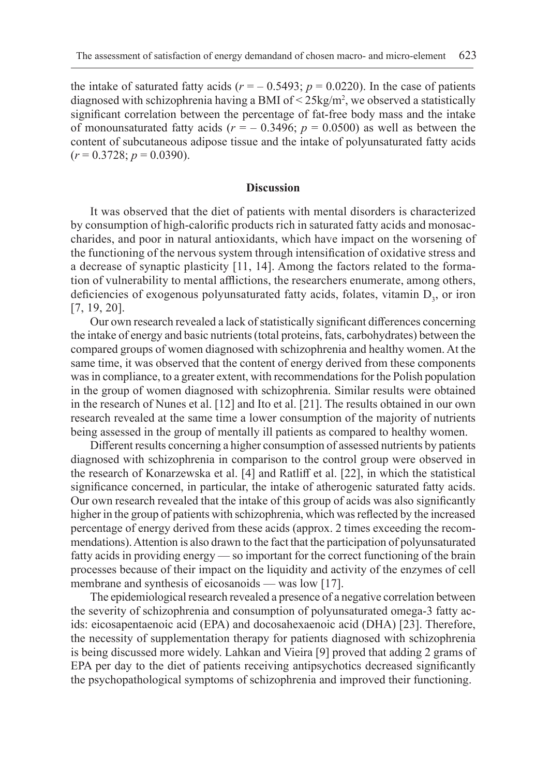the intake of saturated fatty acids  $(r = -0.5493; p = 0.0220)$ . In the case of patients diagnosed with schizophrenia having a BMI of  $\leq$  25kg/m<sup>2</sup>, we observed a statistically significant correlation between the percentage of fat-free body mass and the intake of monounsaturated fatty acids  $(r = -0.3496; p = 0.0500)$  as well as between the content of subcutaneous adipose tissue and the intake of polyunsaturated fatty acids  $(r = 0.3728; p = 0.0390).$ 

#### **Discussion**

It was observed that the diet of patients with mental disorders is characterized by consumption of high-calorific products rich in saturated fatty acids and monosaccharides, and poor in natural antioxidants, which have impact on the worsening of the functioning of the nervous system through intensification of oxidative stress and a decrease of synaptic plasticity [11, 14]. Among the factors related to the formation of vulnerability to mental afflictions, the researchers enumerate, among others, deficiencies of exogenous polyunsaturated fatty acids, folates, vitamin  $D_3$ , or iron [7, 19, 20].

Our own research revealed a lack of statistically significant differences concerning the intake of energy and basic nutrients (total proteins, fats, carbohydrates) between the compared groups of women diagnosed with schizophrenia and healthy women. At the same time, it was observed that the content of energy derived from these components was in compliance, to a greater extent, with recommendations for the Polish population in the group of women diagnosed with schizophrenia. Similar results were obtained in the research of Nunes et al. [12] and Ito et al. [21]. The results obtained in our own research revealed at the same time a lower consumption of the majority of nutrients being assessed in the group of mentally ill patients as compared to healthy women.

Different results concerning a higher consumption of assessed nutrients by patients diagnosed with schizophrenia in comparison to the control group were observed in the research of Konarzewska et al. [4] and Ratliff et al. [22], in which the statistical significance concerned, in particular, the intake of atherogenic saturated fatty acids. Our own research revealed that the intake of this group of acids was also significantly higher in the group of patients with schizophrenia, which was reflected by the increased percentage of energy derived from these acids (approx. 2 times exceeding the recommendations). Attention is also drawn to the fact that the participation of polyunsaturated fatty acids in providing energy — so important for the correct functioning of the brain processes because of their impact on the liquidity and activity of the enzymes of cell membrane and synthesis of eicosanoids — was low [17].

The epidemiological research revealed a presence of a negative correlation between the severity of schizophrenia and consumption of polyunsaturated omega-3 fatty acids: eicosapentaenoic acid (EPA) and docosahexaenoic acid (DHA) [23]. Therefore, the necessity of supplementation therapy for patients diagnosed with schizophrenia is being discussed more widely. Lahkan and Vieira [9] proved that adding 2 grams of EPA per day to the diet of patients receiving antipsychotics decreased significantly the psychopathological symptoms of schizophrenia and improved their functioning.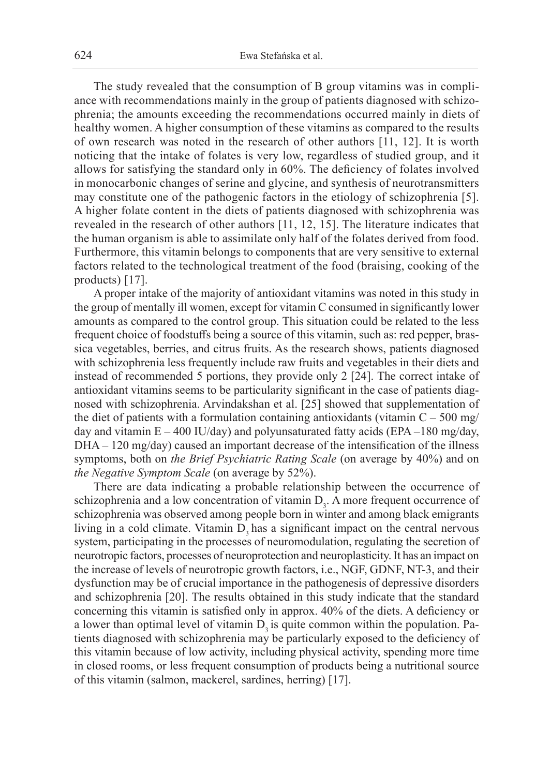The study revealed that the consumption of B group vitamins was in compliance with recommendations mainly in the group of patients diagnosed with schizophrenia; the amounts exceeding the recommendations occurred mainly in diets of healthy women. A higher consumption of these vitamins as compared to the results of own research was noted in the research of other authors [11, 12]. It is worth noticing that the intake of folates is very low, regardless of studied group, and it allows for satisfying the standard only in 60%. The deficiency of folates involved in monocarbonic changes of serine and glycine, and synthesis of neurotransmitters may constitute one of the pathogenic factors in the etiology of schizophrenia [5]. A higher folate content in the diets of patients diagnosed with schizophrenia was revealed in the research of other authors [11, 12, 15]. The literature indicates that the human organism is able to assimilate only half of the folates derived from food. Furthermore, this vitamin belongs to components that are very sensitive to external factors related to the technological treatment of the food (braising, cooking of the products) [17].

A proper intake of the majority of antioxidant vitamins was noted in this study in the group of mentally ill women, except for vitamin C consumed in significantly lower amounts as compared to the control group. This situation could be related to the less frequent choice of foodstuffs being a source of this vitamin, such as: red pepper, brassica vegetables, berries, and citrus fruits. As the research shows, patients diagnosed with schizophrenia less frequently include raw fruits and vegetables in their diets and instead of recommended 5 portions, they provide only 2 [24]. The correct intake of antioxidant vitamins seems to be particularity significant in the case of patients diagnosed with schizophrenia. Arvindakshan et al. [25] showed that supplementation of the diet of patients with a formulation containing antioxidants (vitamin  $C - 500$  mg/ day and vitamin  $E - 400$  IU/day) and polyunsaturated fatty acids (EPA -180 mg/day, DHA – 120 mg/day) caused an important decrease of the intensification of the illness symptoms, both on *the Brief Psychiatric Rating Scale* (on average by 40%) and on *the Negative Symptom Scale* (on average by 52%).

There are data indicating a probable relationship between the occurrence of schizophrenia and a low concentration of vitamin  $D_3$ . A more frequent occurrence of schizophrenia was observed among people born in winter and among black emigrants living in a cold climate. Vitamin  $D_3$  has a significant impact on the central nervous system, participating in the processes of neuromodulation, regulating the secretion of neurotropic factors, processes of neuroprotection and neuroplasticity. It has an impact on the increase of levels of neurotropic growth factors, i.e., NGF, GDNF, NT-3, and their dysfunction may be of crucial importance in the pathogenesis of depressive disorders and schizophrenia [20]. The results obtained in this study indicate that the standard concerning this vitamin is satisfied only in approx. 40% of the diets. A deficiency or a lower than optimal level of vitamin  $D<sub>3</sub>$  is quite common within the population. Patients diagnosed with schizophrenia may be particularly exposed to the deficiency of this vitamin because of low activity, including physical activity, spending more time in closed rooms, or less frequent consumption of products being a nutritional source of this vitamin (salmon, mackerel, sardines, herring) [17].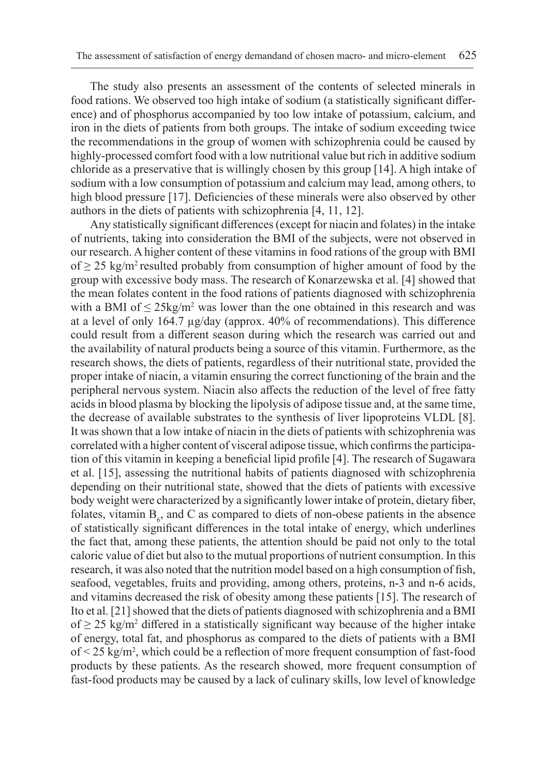The study also presents an assessment of the contents of selected minerals in food rations. We observed too high intake of sodium (a statistically significant difference) and of phosphorus accompanied by too low intake of potassium, calcium, and iron in the diets of patients from both groups. The intake of sodium exceeding twice the recommendations in the group of women with schizophrenia could be caused by highly-processed comfort food with a low nutritional value but rich in additive sodium chloride as a preservative that is willingly chosen by this group [14]. A high intake of sodium with a low consumption of potassium and calcium may lead, among others, to high blood pressure [17]. Deficiencies of these minerals were also observed by other authors in the diets of patients with schizophrenia [4, 11, 12].

Any statistically significant differences (except for niacin and folates) in the intake of nutrients, taking into consideration the BMI of the subjects, were not observed in our research. A higher content of these vitamins in food rations of the group with BMI of  $\geq$  25 kg/m<sup>2</sup> resulted probably from consumption of higher amount of food by the group with excessive body mass. The research of Konarzewska et al. [4] showed that the mean folates content in the food rations of patients diagnosed with schizophrenia with a BMI of  $\leq 25 \text{kg/m}^2$  was lower than the one obtained in this research and was at a level of only 164.7 µg/day (approx. 40% of recommendations). This difference could result from a different season during which the research was carried out and the availability of natural products being a source of this vitamin. Furthermore, as the research shows, the diets of patients, regardless of their nutritional state, provided the proper intake of niacin, a vitamin ensuring the correct functioning of the brain and the peripheral nervous system. Niacin also affects the reduction of the level of free fatty acids in blood plasma by blocking the lipolysis of adipose tissue and, at the same time, the decrease of available substrates to the synthesis of liver lipoproteins VLDL [8]. It was shown that a low intake of niacin in the diets of patients with schizophrenia was correlated with a higher content of visceral adipose tissue, which confirms the participation of this vitamin in keeping a beneficial lipid profile [4]. The research of Sugawara et al. [15], assessing the nutritional habits of patients diagnosed with schizophrenia depending on their nutritional state, showed that the diets of patients with excessive body weight were characterized by a significantly lower intake of protein, dietary fiber, folates, vitamin  $B_6$ , and C as compared to diets of non-obese patients in the absence of statistically significant differences in the total intake of energy, which underlines the fact that, among these patients, the attention should be paid not only to the total caloric value of diet but also to the mutual proportions of nutrient consumption. In this research, it was also noted that the nutrition model based on a high consumption of fish, seafood, vegetables, fruits and providing, among others, proteins, n-3 and n-6 acids, and vitamins decreased the risk of obesity among these patients [15]. The research of Ito et al. [21] showed that the diets of patients diagnosed with schizophrenia and a BMI of  $\geq$  25 kg/m<sup>2</sup> differed in a statistically significant way because of the higher intake of energy, total fat, and phosphorus as compared to the diets of patients with a BMI of < 25 kg/m2 , which could be a reflection of more frequent consumption of fast-food products by these patients. As the research showed, more frequent consumption of fast-food products may be caused by a lack of culinary skills, low level of knowledge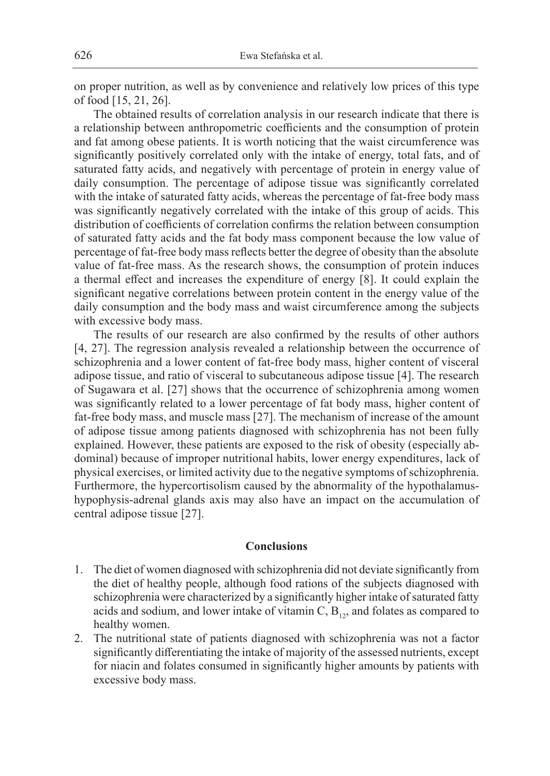on proper nutrition, as well as by convenience and relatively low prices of this type of food [15, 21, 26].

The obtained results of correlation analysis in our research indicate that there is a relationship between anthropometric coefficients and the consumption of protein and fat among obese patients. It is worth noticing that the waist circumference was significantly positively correlated only with the intake of energy, total fats, and of saturated fatty acids, and negatively with percentage of protein in energy value of daily consumption. The percentage of adipose tissue was significantly correlated with the intake of saturated fatty acids, whereas the percentage of fat-free body mass was significantly negatively correlated with the intake of this group of acids. This distribution of coefficients of correlation confirms the relation between consumption of saturated fatty acids and the fat body mass component because the low value of percentage of fat-free body mass reflects better the degree of obesity than the absolute value of fat-free mass. As the research shows, the consumption of protein induces a thermal effect and increases the expenditure of energy [8]. It could explain the significant negative correlations between protein content in the energy value of the daily consumption and the body mass and waist circumference among the subjects with excessive body mass.

The results of our research are also confirmed by the results of other authors [4, 27]. The regression analysis revealed a relationship between the occurrence of schizophrenia and a lower content of fat-free body mass, higher content of visceral adipose tissue, and ratio of visceral to subcutaneous adipose tissue [4]. The research of Sugawara et al. [27] shows that the occurrence of schizophrenia among women was significantly related to a lower percentage of fat body mass, higher content of fat-free body mass, and muscle mass [27]. The mechanism of increase of the amount of adipose tissue among patients diagnosed with schizophrenia has not been fully explained. However, these patients are exposed to the risk of obesity (especially abdominal) because of improper nutritional habits, lower energy expenditures, lack of physical exercises, or limited activity due to the negative symptoms of schizophrenia. Furthermore, the hypercortisolism caused by the abnormality of the hypothalamushypophysis-adrenal glands axis may also have an impact on the accumulation of central adipose tissue [27].

#### **Conclusions**

- 1. The diet of women diagnosed with schizophrenia did not deviate significantly from the diet of healthy people, although food rations of the subjects diagnosed with schizophrenia were characterized by a significantly higher intake of saturated fatty acids and sodium, and lower intake of vitamin C,  $B_{12}$ , and folates as compared to healthy women.
- 2. The nutritional state of patients diagnosed with schizophrenia was not a factor significantly differentiating the intake of majority of the assessed nutrients, except for niacin and folates consumed in significantly higher amounts by patients with excessive body mass.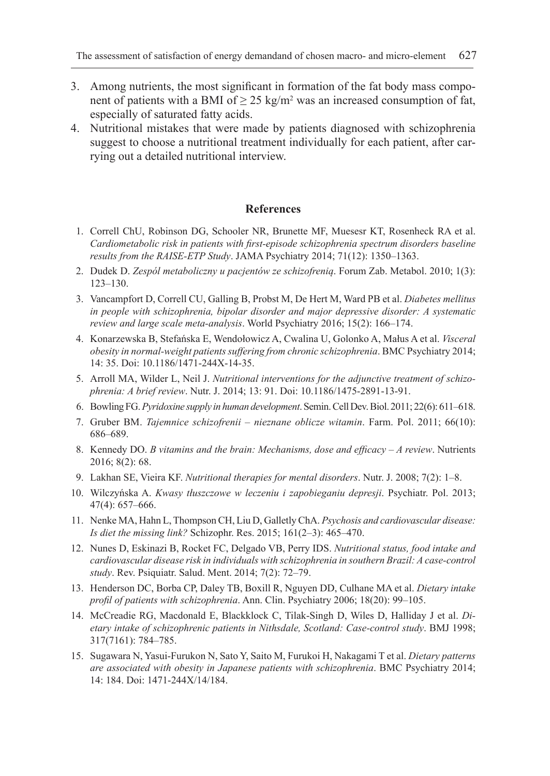- 3. Among nutrients, the most significant in formation of the fat body mass component of patients with a BMI of  $\geq 25 \text{ kg/m}^2$  was an increased consumption of fat, especially of saturated fatty acids.
- 4. Nutritional mistakes that were made by patients diagnosed with schizophrenia suggest to choose a nutritional treatment individually for each patient, after carrying out a detailed nutritional interview.

# **References**

- 1. Correll ChU, Robinson DG, Schooler NR, Brunette MF, Muesesr KT, Rosenheck RA et al. *Cardiometabolic risk in patients with first-episode schizophrenia spectrum disorders baseline results from the RAISE-ETP Study*. JAMA Psychiatry 2014; 71(12): 1350–1363.
- 2. Dudek D. *Zespól metaboliczny u pacjentów ze schizofrenią*. Forum Zab. Metabol. 2010; 1(3): 123–130.
- 3. Vancampfort D, Correll CU, Galling B, Probst M, De Hert M, Ward PB et al. *Diabetes mellitus in people with schizophrenia, bipolar disorder and major depressive disorder: A systematic review and large scale meta-analysis*. World Psychiatry 2016; 15(2): 166–174.
- 4. Konarzewska B, Stefańska E, Wendołowicz A, Cwalina U, Golonko A, Małus A et al. *Visceral obesity in normal-weight patients suffering from chronic schizophrenia*. BMC Psychiatry 2014; 14: 35. Doi: 10.1186/1471-244X-14-35.
- 5. Arroll MA, Wilder L, Neil J. *Nutritional interventions for the adjunctive treatment of schizophrenia: A brief review*. Nutr. J. 2014; 13: 91. Doi: 10.1186/1475-2891-13-91.
- 6. Bowling FG. *Pyridoxine supply in human development*. Semin. Cell Dev. Biol. 2011; 22(6): 611–618.
- 7. Gruber BM. *Tajemnice schizofrenii nieznane oblicze witamin*. Farm. Pol. 2011; 66(10): 686–689.
- 8. Kennedy DO. *B vitamins and the brain: Mechanisms, dose and efficacy A review*. Nutrients 2016; 8(2): 68.
- 9. Lakhan SE, Vieira KF. *Nutritional therapies for mental disorders*. Nutr. J. 2008; 7(2): 1–8.
- 10. Wilczyńska A. *Kwasy tłuszczowe w leczeniu i zapobieganiu depresji*. Psychiatr. Pol. 2013; 47(4): 657–666.
- 11. Nenke MA, Hahn L, Thompson CH, Liu D, Galletly ChA. *Psychosis and cardiovascular disease: Is diet the missing link?* Schizophr. Res. 2015; 161(2–3): 465–470.
- 12. Nunes D, Eskinazi B, Rocket FC, Delgado VB, Perry IDS. *Nutritional status, food intake and cardiovascular disease risk in individuals with schizophrenia in southern Brazil: A case-control study*. Rev. Psiquiatr. Salud. Ment. 2014; 7(2): 72–79.
- 13. Henderson DC, Borba CP, Daley TB, Boxill R, Nguyen DD, Culhane MA et al. *Dietary intake profil of patients with schizophrenia*. Ann. Clin. Psychiatry 2006; 18(20): 99–105.
- 14. McCreadie RG, Macdonald E, Blackklock C, Tilak-Singh D, Wiles D, Halliday J et al. *Dietary intake of schizophrenic patients in Nithsdale, Scotland: Case-control study*. BMJ 1998; 317(7161): 784–785.
- 15. Sugawara N, Yasui-Furukon N, Sato Y, Saito M, Furukoi H, Nakagami T et al. *Dietary patterns are associated with obesity in Japanese patients with schizophrenia*. BMC Psychiatry 2014; 14: 184. Doi: 1471-244X/14/184.